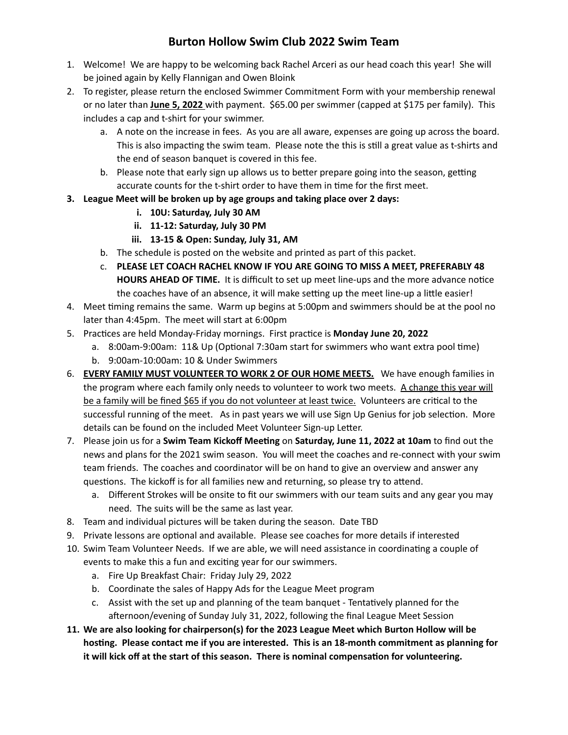## **Burton Hollow Swim Club 2022 Swim Team**

- 1. Welcome! We are happy to be welcoming back Rachel Arceri as our head coach this year! She will be joined again by Kelly Flannigan and Owen Bloink
- 2. To register, please return the enclosed Swimmer Commitment Form with your membership renewal or no later than **June 5, 2022** with payment. \$65.00 per swimmer (capped at \$175 per family). This includes a cap and t-shirt for your swimmer.
	- a. A note on the increase in fees. As you are all aware, expenses are going up across the board. This is also impacting the swim team. Please note the this is still a great value as t-shirts and the end of season banquet is covered in this fee.
	- b. Please note that early sign up allows us to better prepare going into the season, getting accurate counts for the t-shirt order to have them in time for the first meet.
- **3. League Meet will be broken up by age groups and taking place over 2 days:**
	- **i. 10U: Saturday, July 30 AM**
	- **ii. 11-12: Saturday, July 30 PM**
	- **iii. 13-15 & Open: Sunday, July 31, AM**
	- b. The schedule is posted on the website and printed as part of this packet.
	- c. **PLEASE LET COACH RACHEL KNOW IF YOU ARE GOING TO MISS A MEET, PREFERABLY 48 HOURS AHEAD OF TIME.** It is difficult to set up meet line-ups and the more advance notice the coaches have of an absence, it will make setting up the meet line-up a little easier!
- 4. Meet timing remains the same. Warm up begins at 5:00pm and swimmers should be at the pool no later than 4:45pm. The meet will start at 6:00pm
- 5. Pracces are held Monday-Friday mornings. First pracce is **Monday June 20, 2022**
	- a. 8:00am-9:00am: 11& Up (Optional 7:30am start for swimmers who want extra pool time)
	- b. 9:00am-10:00am: 10 & Under Swimmers
- 6. **EVERY FAMILY MUST VOLUNTEER TO WORK 2 OF OUR HOME MEETS.** We have enough families in the program where each family only needs to volunteer to work two meets. A change this year will be a family will be fined \$65 if you do not volunteer at least twice. Volunteers are critical to the successful running of the meet. As in past years we will use Sign Up Genius for job selection. More details can be found on the included Meet Volunteer Sign-up Letter.
- 7. Please join us for a **Swim Team Kickoff Meeng** on **Saturday, June 11, 2022 at 10am** to find out the news and plans for the 2021 swim season. You will meet the coaches and re-connect with your swim team friends. The coaches and coordinator will be on hand to give an overview and answer any questions. The kickoff is for all families new and returning, so please try to attend.
	- a. Different Strokes will be onsite to fit our swimmers with our team suits and any gear you may need. The suits will be the same as last year.
- 8. Team and individual pictures will be taken during the season. Date TBD
- 9. Private lessons are optional and available. Please see coaches for more details if interested
- 10. Swim Team Volunteer Needs. If we are able, we will need assistance in coordinating a couple of events to make this a fun and exciting year for our swimmers.
	- a. Fire Up Breakfast Chair: Friday July 29, 2022
	- b. Coordinate the sales of Happy Ads for the League Meet program
	- c. Assist with the set up and planning of the team banquet Tentatively planned for the afternoon/evening of Sunday July 31, 2022, following the final League Meet Session
- **11. We are also looking for chairperson(s) for the 2023 League Meet which Burton Hollow will be hosng. Please contact me if you are interested. This is an 18-month commitment as planning for it will kick off at the start of this season. There is nominal compensaon for volunteering.**